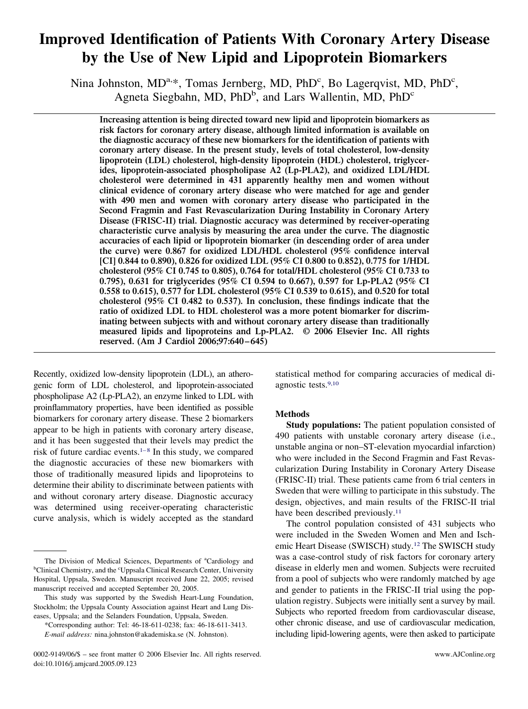# **Improved Identification of Patients With Coronary Artery Disease by the Use of New Lipid and Lipoprotein Biomarkers**

Nina Johnston, MD<sup>a,\*</sup>, Tomas Jernberg, MD, PhD<sup>c</sup>, Bo Lagerqvist, MD, PhD<sup>c</sup>, Agneta Siegbahn, MD, PhD<sup>b</sup>, and Lars Wallentin, MD, PhD<sup>c</sup>

**Increasing attention is being directed toward new lipid and lipoprotein biomarkers as risk factors for coronary artery disease, although limited information is available on the diagnostic accuracy of these new biomarkers for the identification of patients with coronary artery disease. In the present study, levels of total cholesterol, low-density lipoprotein (LDL) cholesterol, high-density lipoprotein (HDL) cholesterol, triglycerides, lipoprotein-associated phospholipase A2 (Lp-PLA2), and oxidized LDL/HDL cholesterol were determined in 431 apparently healthy men and women without clinical evidence of coronary artery disease who were matched for age and gender with 490 men and women with coronary artery disease who participated in the Second Fragmin and Fast Revascularization During Instability in Coronary Artery Disease (FRISC-II) trial. Diagnostic accuracy was determined by receiver-operating characteristic curve analysis by measuring the area under the curve. The diagnostic accuracies of each lipid or lipoprotein biomarker (in descending order of area under the curve) were 0.867 for oxidized LDL/HDL cholesterol (95% confidence interval [CI] 0.844 to 0.890), 0.826 for oxidized LDL (95% CI 0.800 to 0.852), 0.775 for 1/HDL cholesterol (95% CI 0.745 to 0.805), 0.764 for total/HDL cholesterol (95% CI 0.733 to 0.795), 0.631 for triglycerides (95% CI 0.594 to 0.667), 0.597 for Lp-PLA2 (95% CI 0.558 to 0.615), 0.577 for LDL cholesterol (95% CI 0.539 to 0.615), and 0.520 for total cholesterol (95% CI 0.482 to 0.537). In conclusion, these findings indicate that the ratio of oxidized LDL to HDL cholesterol was a more potent biomarker for discriminating between subjects with and without coronary artery disease than traditionally measured lipids and lipoproteins and Lp-PLA2. © 2006 Elsevier Inc. All rights reserved. (Am J Cardiol 2006;97:640 – 645)**

Recently, oxidized low-density lipoprotein (LDL), an atherogenic form of LDL cholesterol, and lipoprotein-associated phospholipase A2 (Lp-PLA2), an enzyme linked to LDL with proinflammatory properties, have been identified as possible biomarkers for coronary artery disease. These 2 biomarkers appear to be high in patients with coronary artery disease, and it has been suggested that their levels may predict the risk of future cardiac events.<sup>1–8</sup> In this study, we compared the diagnostic accuracies of these new biomarkers with those of traditionally measured lipids and lipoproteins to determine their ability to discriminate between patients with and without coronary artery disease. Diagnostic accuracy was determined using receiver-operating characteristic curve analysis, which is widely accepted as the standard statistical method for comparing accuracies of medical diagnostic tests[.9,10](#page-5-0)

## **Methods**

**Study populations:** The patient population consisted of 490 patients with unstable coronary artery disease (i.e., unstable angina or non–ST-elevation myocardial infarction) who were included in the Second Fragmin and Fast Revascularization During Instability in Coronary Artery Disease (FRISC-II) trial. These patients came from 6 trial centers in Sweden that were willing to participate in this substudy. The design, objectives, and main results of the FRISC-II trial have been described previously.<sup>11</sup>

The control population consisted of 431 subjects who were included in the Sweden Women and Men and Ischemic Heart Disease (SWISCH) study[.12](#page-5-0) The SWISCH study was a case-control study of risk factors for coronary artery disease in elderly men and women. Subjects were recruited from a pool of subjects who were randomly matched by age and gender to patients in the FRISC-II trial using the population registry. Subjects were initially sent a survey by mail. Subjects who reported freedom from cardiovascular disease, other chronic disease, and use of cardiovascular medication, including lipid-lowering agents, were then asked to participate

The Division of Medical Sciences, Departments of <sup>a</sup>Cardiology and <sup>b</sup>Clinical Chemistry, and the <sup>c</sup>Uppsala Clinical Research Center, University Hospital, Uppsala, Sweden. Manuscript received June 22, 2005; revised manuscript received and accepted September 20, 2005.

This study was supported by the Swedish Heart-Lung Foundation, Stockholm; the Uppsala County Association against Heart and Lung Diseases, Uppsala; and the Selanders Foundation, Uppsala, Sweden.

<sup>\*</sup>Corresponding author: Tel: 46-18-611-0238; fax: 46-18-611-3413. *E-mail address:* nina.johnston@akademiska.se (N. Johnston).

<sup>0002-9149/06/\$ –</sup> see front matter © 2006 Elsevier Inc. All rights reserved. www.AJConline.org doi:10.1016/j.amjcard.2005.09.123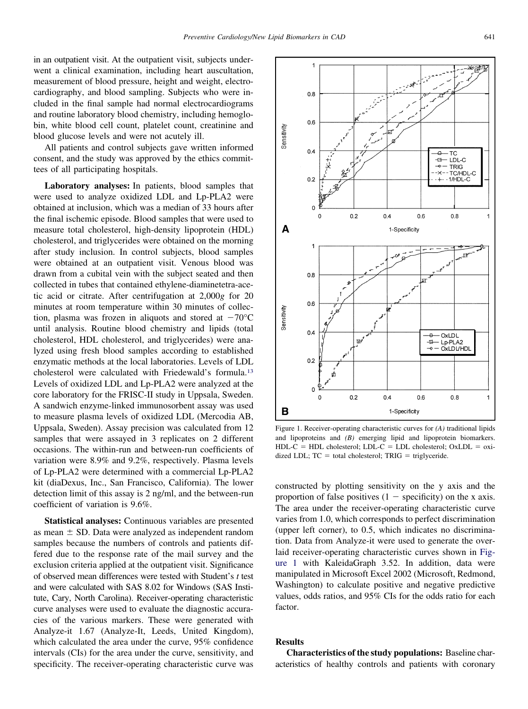<span id="page-1-0"></span>in an outpatient visit. At the outpatient visit, subjects underwent a clinical examination, including heart auscultation, measurement of blood pressure, height and weight, electrocardiography, and blood sampling. Subjects who were included in the final sample had normal electrocardiograms and routine laboratory blood chemistry, including hemoglobin, white blood cell count, platelet count, creatinine and blood glucose levels and were not acutely ill.

All patients and control subjects gave written informed consent, and the study was approved by the ethics committees of all participating hospitals.

**Laboratory analyses:** In patients, blood samples that were used to analyze oxidized LDL and Lp-PLA2 were obtained at inclusion, which was a median of 33 hours after the final ischemic episode. Blood samples that were used to measure total cholesterol, high-density lipoprotein (HDL) cholesterol, and triglycerides were obtained on the morning after study inclusion. In control subjects, blood samples were obtained at an outpatient visit. Venous blood was drawn from a cubital vein with the subject seated and then collected in tubes that contained ethylene-diaminetetra-acetic acid or citrate. After centrifugation at 2,000*g* for 20 minutes at room temperature within 30 minutes of collection, plasma was frozen in aliquots and stored at  $-70^{\circ}$ C until analysis. Routine blood chemistry and lipids (total cholesterol, HDL cholesterol, and triglycerides) were analyzed using fresh blood samples according to established enzymatic methods at the local laboratories. Levels of LDL cholesterol were calculated with Friedewald's formula[.13](#page-5-0) Levels of oxidized LDL and Lp-PLA2 were analyzed at the core laboratory for the FRISC-II study in Uppsala, Sweden. A sandwich enzyme-linked immunosorbent assay was used to measure plasma levels of oxidized LDL (Mercodia AB, Uppsala, Sweden). Assay precision was calculated from 12 samples that were assayed in 3 replicates on 2 different occasions. The within-run and between-run coefficients of variation were 8.9% and 9.2%, respectively. Plasma levels of Lp-PLA2 were determined with a commercial Lp-PLA2 kit (diaDexus, Inc., San Francisco, California). The lower detection limit of this assay is 2 ng/ml, and the between-run coefficient of variation is 9.6%.

**Statistical analyses:** Continuous variables are presented as mean  $\pm$  SD. Data were analyzed as independent random samples because the numbers of controls and patients differed due to the response rate of the mail survey and the exclusion criteria applied at the outpatient visit. Significance of observed mean differences were tested with Student's *t* test and were calculated with SAS 8.02 for Windows (SAS Institute, Cary, North Carolina). Receiver-operating characteristic curve analyses were used to evaluate the diagnostic accuracies of the various markers. These were generated with Analyze-it 1.67 (Analyze-It, Leeds, United Kingdom), which calculated the area under the curve, 95% confidence intervals (CIs) for the area under the curve, sensitivity, and specificity. The receiver-operating characteristic curve was



Figure 1. Receiver-operating characteristic curves for *(A)* traditional lipids and lipoproteins and *(B)* emerging lipid and lipoprotein biomarkers.  $HDL-C = HDL$  cholesterol;  $LDL-C = LDL$  cholesterol;  $OxLDL = oxi$ dized LDL;  $TC = total cholesterol$ ;  $TRIG = triglyceride$ .

constructed by plotting sensitivity on the y axis and the proportion of false positives  $(1 -$  specificity) on the x axis. The area under the receiver-operating characteristic curve varies from 1.0, which corresponds to perfect discrimination (upper left corner), to 0.5, which indicates no discrimination. Data from Analyze-it were used to generate the overlaid receiver-operating characteristic curves shown in Figure 1 with KaleidaGraph 3.52. In addition, data were manipulated in Microsoft Excel 2002 (Microsoft, Redmond, Washington) to calculate positive and negative predictive values, odds ratios, and 95% CIs for the odds ratio for each factor.

### **Results**

**Characteristics of the study populations:** Baseline characteristics of healthy controls and patients with coronary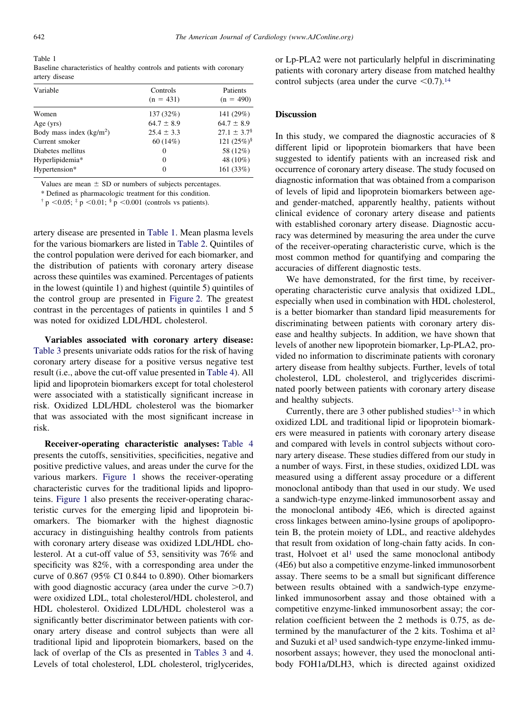Table 1 Baseline characteristics of healthy controls and patients with coronary artery disease

| Variable                  | Controls       | Patients            |  |
|---------------------------|----------------|---------------------|--|
|                           | $(n = 431)$    | $(n = 490)$         |  |
| Women                     | 137 (32%)      | 141 (29%)           |  |
| Age $(yrs)$               | $64.7 \pm 8.9$ | $64.7 \pm 8.9$      |  |
| Body mass index $(kg/m2)$ | $25.4 \pm 3.3$ | $27.1 \pm 3.7^{\$}$ |  |
| Current smoker            | 60(14%)        | 121 $(25\%)^{\$}$   |  |
| Diabetes mellitus         | 0              | 58 (12%)            |  |
| Hyperlipidemia*           | $\Omega$       | 48 (10%)            |  |
| Hypertension*             | $\Omega$       | 161 (33%)           |  |

Values are mean  $\pm$  SD or numbers of subjects percentages.

\* Defined as pharmacologic treatment for this condition.

 $\dagger$  p <0.05;  $\dagger$  p <0.01;  $\dagger$  p <0.001 (controls vs patients).

artery disease are presented in Table 1. Mean plasma levels for the various biomarkers are listed in [Table 2.](#page-3-0) Quintiles of the control population were derived for each biomarker, and the distribution of patients with coronary artery disease across these quintiles was examined. Percentages of patients in the lowest (quintile 1) and highest (quintile 5) quintiles of the control group are presented in [Figure 2.](#page-3-0) The greatest contrast in the percentages of patients in quintiles 1 and 5 was noted for oxidized LDL/HDL cholesterol.

**Variables associated with coronary artery disease:** [Table 3](#page-3-0) presents univariate odds ratios for the risk of having coronary artery disease for a positive versus negative test result (i.e., above the cut-off value presented in [Table 4\)](#page-4-0). All lipid and lipoprotein biomarkers except for total cholesterol were associated with a statistically significant increase in risk. Oxidized LDL/HDL cholesterol was the biomarker that was associated with the most significant increase in risk.

**Receiver-operating characteristic analyses:** [Table 4](#page-4-0) presents the cutoffs, sensitivities, specificities, negative and positive predictive values, and areas under the curve for the various markers. [Figure 1](#page-1-0) shows the receiver-operating characteristic curves for the traditional lipids and lipoproteins. [Figure 1](#page-1-0) also presents the receiver-operating characteristic curves for the emerging lipid and lipoprotein biomarkers. The biomarker with the highest diagnostic accuracy in distinguishing healthy controls from patients with coronary artery disease was oxidized LDL/HDL cholesterol. At a cut-off value of 53, sensitivity was 76% and specificity was 82%, with a corresponding area under the curve of 0.867 (95% CI 0.844 to 0.890). Other biomarkers with good diagnostic accuracy (area under the curve  $>0.7$ ) were oxidized LDL, total cholesterol/HDL cholesterol, and HDL cholesterol. Oxidized LDL/HDL cholesterol was a significantly better discriminator between patients with coronary artery disease and control subjects than were all traditional lipid and lipoprotein biomarkers, based on the lack of overlap of the CIs as presented in [Tables 3](#page-3-0) and [4.](#page-4-0) Levels of total cholesterol, LDL cholesterol, triglycerides,

or Lp-PLA2 were not particularly helpful in discriminating patients with coronary artery disease from matched healthy control subjects (area under the curve  $\leq 0.7$ ).<sup>14</sup>

#### **Discussion**

In this study, we compared the diagnostic accuracies of 8 different lipid or lipoprotein biomarkers that have been suggested to identify patients with an increased risk and occurrence of coronary artery disease. The study focused on diagnostic information that was obtained from a comparison of levels of lipid and lipoprotein biomarkers between ageand gender-matched, apparently healthy, patients without clinical evidence of coronary artery disease and patients with established coronary artery disease. Diagnostic accuracy was determined by measuring the area under the curve of the receiver-operating characteristic curve, which is the most common method for quantifying and comparing the accuracies of different diagnostic tests.

We have demonstrated, for the first time, by receiveroperating characteristic curve analysis that oxidized LDL, especially when used in combination with HDL cholesterol, is a better biomarker than standard lipid measurements for discriminating between patients with coronary artery disease and healthy subjects. In addition, we have shown that levels of another new lipoprotein biomarker, Lp-PLA2, provided no information to discriminate patients with coronary artery disease from healthy subjects. Further, levels of total cholesterol, LDL cholesterol, and triglycerides discriminated poorly between patients with coronary artery disease and healthy subjects.

Currently, there are 3 other published studies<sup>1-3</sup> in which oxidized LDL and traditional lipid or lipoprotein biomarkers were measured in patients with coronary artery disease and compared with levels in control subjects without coronary artery disease. These studies differed from our study in a number of ways. First, in these studies, oxidized LDL was measured using a different assay procedure or a different monoclonal antibody than that used in our study. We used a sandwich-type enzyme-linked immunosorbent assay and the monoclonal antibody 4E6, which is directed against cross linkages between amino-lysine groups of apolipoprotein B, the protein moiety of LDL, and reactive aldehydes that result from oxidation of long-chain fatty acids. In contrast, Holvoet et al<sup>1</sup> used the same monoclonal antibody (4E6) but also a competitive enzyme-linked immunosorbent assay. There seems to be a small but significant difference between results obtained with a sandwich-type enzymelinked immunosorbent assay and those obtained with a competitive enzyme-linked immunosorbent assay; the correlation coefficient between the 2 methods is 0.75, as determined by the manufacturer of the 2 kits. Toshima et a[l2](#page-4-0) and Suzuki et al<sup>3</sup> used sandwich-type enzyme-linked immunosorbent assays; however, they used the monoclonal antibody FOH1a/DLH3, which is directed against oxidized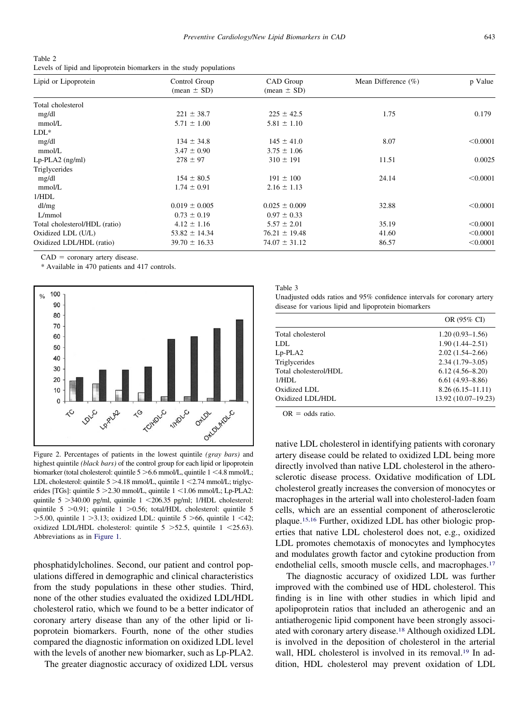<span id="page-3-0"></span>

| Table 2                                                             |  |  |  |
|---------------------------------------------------------------------|--|--|--|
| Levels of lipid and lipoprotein biomarkers in the study populations |  |  |  |

| Lipid or Lipoprotein          | Control Group     | CAD Group         | Mean Difference $(\% )$ | p Value  |
|-------------------------------|-------------------|-------------------|-------------------------|----------|
|                               | $mean \pm SD$     | $mean \pm SD$     |                         |          |
| Total cholesterol             |                   |                   |                         |          |
| mg/dl                         | $221 \pm 38.7$    | $225 \pm 42.5$    | 1.75                    | 0.179    |
| mmol/L                        | $5.71 \pm 1.00$   | $5.81 \pm 1.10$   |                         |          |
| $LDL^*$                       |                   |                   |                         |          |
| mg/dl                         | $134 \pm 34.8$    | $145 \pm 41.0$    | 8.07                    | < 0.0001 |
| mmol/L                        | $3.47 \pm 0.90$   | $3.75 \pm 1.06$   |                         |          |
| $Lp$ -PLA2 (ng/ml)            | $278 \pm 97$      | $310 \pm 191$     | 11.51                   | 0.0025   |
| Triglycerides                 |                   |                   |                         |          |
| mg/dl                         | $154 \pm 80.5$    | $191 \pm 100$     | 24.14                   | < 0.0001 |
| mmol/L                        | $1.74 \pm 0.91$   | $2.16 \pm 1.13$   |                         |          |
| 1/HDL                         |                   |                   |                         |          |
| dl/mg                         | $0.019 \pm 0.005$ | $0.025 \pm 0.009$ | 32.88                   | < 0.0001 |
| L/mmol                        | $0.73 \pm 0.19$   | $0.97 \pm 0.33$   |                         |          |
| Total cholesterol/HDL (ratio) | $4.12 \pm 1.16$   | $5.57 \pm 2.01$   | 35.19                   | < 0.0001 |
| Oxidized LDL (U/L)            | $53.82 \pm 14.34$ | $76.21 \pm 19.48$ | 41.60                   | < 0.0001 |
| Oxidized LDL/HDL (ratio)      | $39.70 \pm 16.33$ | $74.07 \pm 31.12$ | 86.57                   | < 0.0001 |

 $CAD = \text{coronary artery disease.}$ 

\* Available in 470 patients and 417 controls.



Figure 2. Percentages of patients in the lowest quintile *(gray bars)* and highest quintile *(black bars)* of the control group for each lipid or lipoprotein biomarker (total cholesterol: quintile  $5 > 6.6$  mmol/L, quintile  $1 < 4.8$  mmol/L; LDL cholesterol: quintile  $5 > 4.18$  mmol/L, quintile  $1 < 2.74$  mmol/L; triglycerides [TGs]: quintile  $5 > 2.30$  mmol/L, quintile  $1 < 1.06$  mmol/L; Lp-PLA2: quintile  $5 > 340.00$  pg/ml, quintile  $1 < 206.35$  pg/ml; 1/HDL cholesterol: quintile  $5 > 0.91$ ; quintile  $1 > 0.56$ ; total/HDL cholesterol: quintile  $5$  $>$  5.00, quintile 1  $>$  3.13; oxidized LDL: quintile 5  $>$  66, quintile 1 < 42; oxidized LDL/HDL cholesterol: quintile  $5 > 52.5$ , quintile  $1 < 25.63$ ). Abbreviations as in [Figure 1.](#page-1-0)

phosphatidylcholines. Second, our patient and control populations differed in demographic and clinical characteristics from the study populations in these other studies. Third, none of the other studies evaluated the oxidized LDL/HDL cholesterol ratio, which we found to be a better indicator of coronary artery disease than any of the other lipid or lipoprotein biomarkers. Fourth, none of the other studies compared the diagnostic information on oxidized LDL level with the levels of another new biomarker, such as Lp-PLA2.

The greater diagnostic accuracy of oxidized LDL versus

Table 3

Unadjusted odds ratios and 95% confidence intervals for coronary artery disease for various lipid and lipoprotein biomarkers

|                                              | OR (95% CI) |
|----------------------------------------------|-------------|
| $1.20(0.93 - 1.56)$<br>Total cholesterol     |             |
| $1.90(1.44 - 2.51)$<br>LDL                   |             |
| $2.02(1.54 - 2.66)$<br>$Lp$ -PLA2            |             |
| Triglycerides<br>$2.34(1.79-3.05)$           |             |
| Total cholesterol/HDL<br>$6.12(4.56 - 8.20)$ |             |
| $6.61(4.93 - 8.86)$<br>1/HDL                 |             |
| $8.26(6.15 - 11.11)$<br>Oxidized LDL         |             |
| 13.92 (10.07-19.23)<br>Oxidized LDL/HDL      |             |

 $OR = odds ratio$ .

native LDL cholesterol in identifying patients with coronary artery disease could be related to oxidized LDL being more directly involved than native LDL cholesterol in the atherosclerotic disease process. Oxidative modification of LDL cholesterol greatly increases the conversion of monocytes or macrophages in the arterial wall into cholesterol-laden foam cells, which are an essential component of atherosclerotic plaque[.15,16](#page-5-0) Further, oxidized LDL has other biologic properties that native LDL cholesterol does not, e.g., oxidized LDL promotes chemotaxis of monocytes and lymphocytes and modulates growth factor and cytokine production from endothelial cells, smooth muscle cells, and macrophages.<sup>17</sup>

The diagnostic accuracy of oxidized LDL was further improved with the combined use of HDL cholesterol. This finding is in line with other studies in which lipid and apolipoprotein ratios that included an atherogenic and an antiatherogenic lipid component have been strongly associated with coronary artery disease[.18](#page-5-0) Although oxidized LDL is involved in the deposition of cholesterol in the arterial wall, HDL cholesterol is involved in its removal.<sup>19</sup> In addition, HDL cholesterol may prevent oxidation of LDL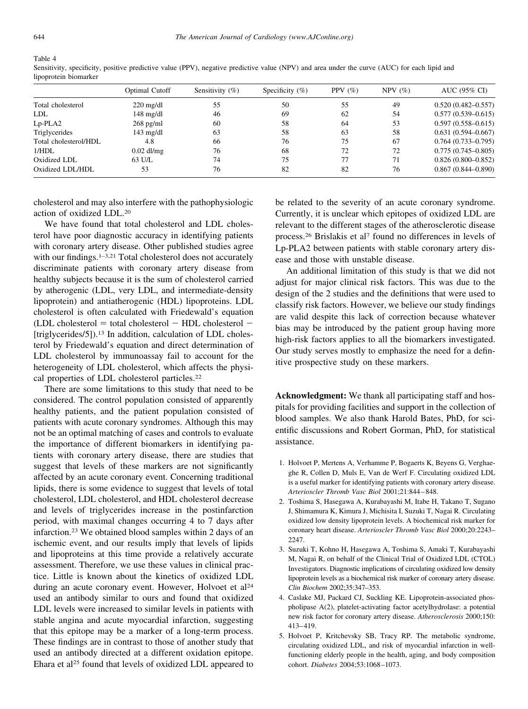#### <span id="page-4-0"></span>Table 4

|                       | Optimal Cutoff      | Sensitivity $(\%)$ | Specificity $(\% )$ | PPV $(\% )$ | NPV(%) | AUC (95% CI)           |
|-----------------------|---------------------|--------------------|---------------------|-------------|--------|------------------------|
| Total cholesterol     | $220 \text{ mg/dl}$ | 55                 | 50                  | 55          | 49     | $0.520(0.482 - 0.557)$ |
| <b>LDL</b>            | $148 \text{ mg/dl}$ | 46                 | 69                  | 62          | 54     | $0.577(0.539 - 0.615)$ |
| $Lp$ -PLA2            | $268$ pg/ml         | 60                 | 58                  | 64          | 53     | $0.597(0.558 - 0.615)$ |
| Triglycerides         | $143 \text{ mg/dl}$ | 63                 | 58                  | 63          | 58     | $0.631(0.594 - 0.667)$ |
| Total cholesterol/HDL | 4.8                 | 66                 | 76                  | 75          | 67     | $0.764(0.733 - 0.795)$ |
| 1/HDL                 | $0.02$ dl/mg        | 76                 | 68                  | 72          | 72     | $0.775(0.745 - 0.805)$ |
| Oxidized LDL          | 63 U/L              | 74                 | 75                  | 77          | 71     | $0.826(0.800 - 0.852)$ |
| Oxidized LDL/HDL      | 53                  | 76                 | 82                  | 82          | 76     | $0.867(0.844 - 0.890)$ |
|                       |                     |                    |                     |             |        |                        |

Sensitivity, specificity, positive predictive value (PPV), negative predictive value (NPV) and area under the curve (AUC) for each lipid and lipoprotein biomarker

cholesterol and may also interfere with the pathophysiologic action of oxidized LDL[.20](#page-5-0)

We have found that total cholesterol and LDL cholesterol have poor diagnostic accuracy in identifying patients with coronary artery disease. Other published studies agree with our findings.<sup>1–3,21</sup> Total cholesterol does not accurately discriminate patients with coronary artery disease from healthy subjects because it is the sum of cholesterol carried by atherogenic (LDL, very LDL, and intermediate-density lipoprotein) and antiatherogenic (HDL) lipoproteins. LDL cholesterol is often calculated with Friedewald's equation  $(LDL$  cholesterol = total cholesterol  $-$  HDL cholesterol  $-$ [triglycerides/5]).<sup>13</sup> In addition, calculation of LDL cholesterol by Friedewald's equation and direct determination of LDL cholesterol by immunoassay fail to account for the heterogeneity of LDL cholesterol, which affects the physical properties of LDL cholesterol particles[.22](#page-5-0)

There are some limitations to this study that need to be considered. The control population consisted of apparently healthy patients, and the patient population consisted of patients with acute coronary syndromes. Although this may not be an optimal matching of cases and controls to evaluate the importance of different biomarkers in identifying patients with coronary artery disease, there are studies that suggest that levels of these markers are not significantly affected by an acute coronary event. Concerning traditional lipids, there is some evidence to suggest that levels of total cholesterol, LDL cholesterol, and HDL cholesterol decrease and levels of triglycerides increase in the postinfarction period, with maximal changes occurring 4 to 7 days after infarction[.23](#page-5-0) We obtained blood samples within 2 days of an ischemic event, and our results imply that levels of lipids and lipoproteins at this time provide a relatively accurate assessment. Therefore, we use these values in clinical practice. Little is known about the kinetics of oxidized LDL during an acute coronary event. However, Holvoet et al<sup>24</sup> used an antibody similar to ours and found that oxidized LDL levels were increased to similar levels in patients with stable angina and acute myocardial infarction, suggesting that this epitope may be a marker of a long-term process. These findings are in contrast to those of another study that used an antibody directed at a different oxidation epitope. Ehara et al<sup>25</sup> found that levels of oxidized LDL appeared to

be related to the severity of an acute coronary syndrome. Currently, it is unclear which epitopes of oxidized LDL are relevant to the different stages of the atherosclerotic disease process[.26](#page-5-0) Brislakis et a[l7](#page-5-0) found no differences in levels of Lp-PLA2 between patients with stable coronary artery disease and those with unstable disease.

An additional limitation of this study is that we did not adjust for major clinical risk factors. This was due to the design of the 2 studies and the definitions that were used to classify risk factors. However, we believe our study findings are valid despite this lack of correction because whatever bias may be introduced by the patient group having more high-risk factors applies to all the biomarkers investigated. Our study serves mostly to emphasize the need for a definitive prospective study on these markers.

**Acknowledgment:** We thank all participating staff and hospitals for providing facilities and support in the collection of blood samples. We also thank Harold Bates, PhD, for scientific discussions and Robert Gorman, PhD, for statistical assistance.

- 1. Holvoet P, Mertens A, Verhamme P, Bogaerts K, Beyens G, Verghaeghe R, Collen D, Muls E, Van de Werf F. Circulating oxidized LDL is a useful marker for identifying patients with coronary artery disease. *Arterioscler Thromb Vasc Biol* 2001;21:844 – 848.
- 2. Toshima S, Hasegawa A, Kurabayashi M, Itabe H, Takano T, Sugano J, Shimamura K, Kimura J, Michisita I, Suzuki T, Nagai R. Circulating oxidized low density lipoprotein levels. A biochemical risk marker for coronary heart disease. *Arterioscler Thromb Vasc Biol* 2000;20:2243– 2247.
- 3. Suzuki T, Kohno H, Hasegawa A, Toshima S, Amaki T, Kurabayashi M, Nagai R, on behalf of the Clinical Trial of Oxidized LDL (CTOL) Investigators. Diagnostic implications of circulating oxidized low density lipoprotein levels as a biochemical risk marker of coronary artery disease. *Clin Biochem* 2002;35:347–353.
- 4. Caslake MJ, Packard CJ, Suckling KE. Lipoprotein-associated phospholipase A(2), platelet-activating factor acetylhydrolase: a potential new risk factor for coronary artery disease. *Atherosclerosis* 2000;150: 413– 419.
- 5. Holvoet P, Kritchevsky SB, Tracy RP. The metabolic syndrome, circulating oxidized LDL, and risk of myocardial infarction in wellfunctioning elderly people in the health, aging, and body composition cohort. *Diabetes* 2004;53:1068 –1073.